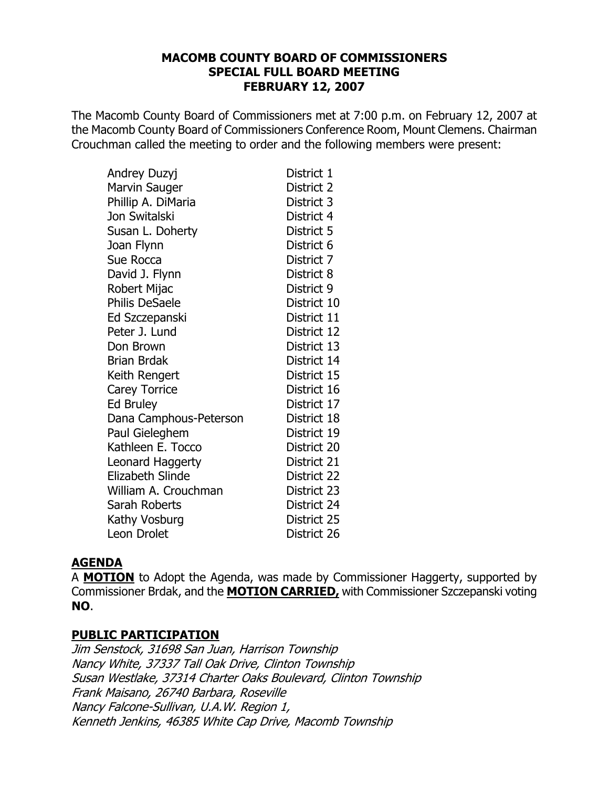## **MACOMB COUNTY BOARD OF COMMISSIONERS SPECIAL FULL BOARD MEETING FEBRUARY 12, 2007**

The Macomb County Board of Commissioners met at 7:00 p.m. on February 12, 2007 at the Macomb County Board of Commissioners Conference Room, Mount Clemens. Chairman Crouchman called the meeting to order and the following members were present:

| Andrey Duzyj           | District 1  |
|------------------------|-------------|
| <b>Marvin Sauger</b>   | District 2  |
| Phillip A. DiMaria     | District 3  |
| Jon Switalski          | District 4  |
| Susan L. Doherty       | District 5  |
| Joan Flynn             | District 6  |
| Sue Rocca              | District 7  |
| David J. Flynn         | District 8  |
| Robert Mijac           | District 9  |
| <b>Philis DeSaele</b>  | District 10 |
| Ed Szczepanski         | District 11 |
| Peter J. Lund          | District 12 |
| Don Brown              | District 13 |
| <b>Brian Brdak</b>     | District 14 |
| Keith Rengert          | District 15 |
| <b>Carey Torrice</b>   | District 16 |
| <b>Ed Bruley</b>       | District 17 |
| Dana Camphous-Peterson | District 18 |
| Paul Gieleghem         | District 19 |
| Kathleen E. Tocco      | District 20 |
| Leonard Haggerty       | District 21 |
| Elizabeth Slinde       | District 22 |
| William A. Crouchman   | District 23 |
| Sarah Roberts          | District 24 |
| Kathy Vosburg          | District 25 |
| Leon Drolet            | District 26 |

## **AGENDA**

A **MOTION** to Adopt the Agenda, was made by Commissioner Haggerty, supported by Commissioner Brdak, and the **MOTION CARRIED**, with Commissioner Szczepanski voting NO.

## **PUBLIC PARTICIPATION**

Jim Senstock, 31698 San Juan, Harrison Township Nancy White, 37337 Tall Oak Drive, Clinton Township Susan Westlake, 37314 Charter Oaks Boulevard, Clinton Township Frank Maisano, 26740 Barbara, Roseville Nancy Falcone-Sullivan, U.A.W. Region 1, Kenneth Jenkins, 46385 White Cap Drive, Macomb Township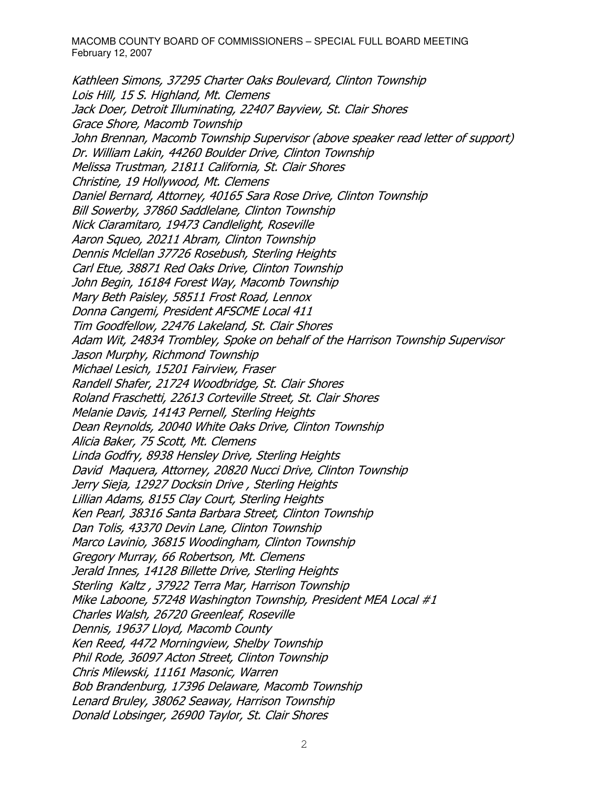Kathleen Simons, 37295 Charter Oaks Boulevard, Clinton Township Lois Hill, 15 S. Highland, Mt. Clemens Jack Doer, Detroit Illuminating, 22407 Bayview, St. Clair Shores Grace Shore, Macomb Township John Brennan, Macomb Township Supervisor (above speaker read letter of support) Dr. William Lakin, 44260 Boulder Drive, Clinton Township Melissa Trustman, 21811 California, St. Clair Shores Christine, 19 Hollywood, Mt. Clemens Daniel Bernard, Attorney, 40165 Sara Rose Drive, Clinton Township Bill Sowerby, 37860 Saddlelane, Clinton Township Nick Ciaramitaro, 19473 Candlelight, Roseville Aaron Squeo, 20211 Abram, Clinton Township Dennis Mclellan 37726 Rosebush, Sterling Heights Carl Etue, 38871 Red Oaks Drive, Clinton Township John Begin, 16184 Forest Way, Macomb Township Mary Beth Paisley, 58511 Frost Road, Lennox Donna Cangemi, President AFSCME Local 411 Tim Goodfellow, 22476 Lakeland, St. Clair Shores Adam Wit, 24834 Trombley, Spoke on behalf of the Harrison Township Supervisor Jason Murphy, Richmond Township Michael Lesich, 15201 Fairview, Fraser Randell Shafer, 21724 Woodbridge, St. Clair Shores Roland Fraschetti, 22613 Corteville Street, St. Clair Shores Melanie Davis, 14143 Pernell, Sterling Heights Dean Reynolds, 20040 White Oaks Drive, Clinton Township Alicia Baker, 75 Scott, Mt. Clemens Linda Godfry, 8938 Hensley Drive, Sterling Heights David Maguera, Attorney, 20820 Nucci Drive, Clinton Township Jerry Sieja, 12927 Docksin Drive, Sterling Heights Lillian Adams, 8155 Clay Court, Sterling Heights Ken Pearl, 38316 Santa Barbara Street, Clinton Township Dan Tolis, 43370 Devin Lane, Clinton Township Marco Lavinio, 36815 Woodingham, Clinton Township Gregory Murray, 66 Robertson, Mt. Clemens Jerald Innes, 14128 Billette Drive, Sterling Heights Sterling Kaltz, 37922 Terra Mar, Harrison Township Mike Laboone, 57248 Washington Township, President MEA Local #1 Charles Walsh, 26720 Greenleaf, Roseville Dennis, 19637 Lloyd, Macomb County Ken Reed, 4472 Morningview, Shelby Township Phil Rode, 36097 Acton Street, Clinton Township Chris Milewski, 11161 Masonic, Warren Bob Brandenburg, 17396 Delaware, Macomb Township Lenard Bruley, 38062 Seaway, Harrison Township Donald Lobsinger, 26900 Taylor, St. Clair Shores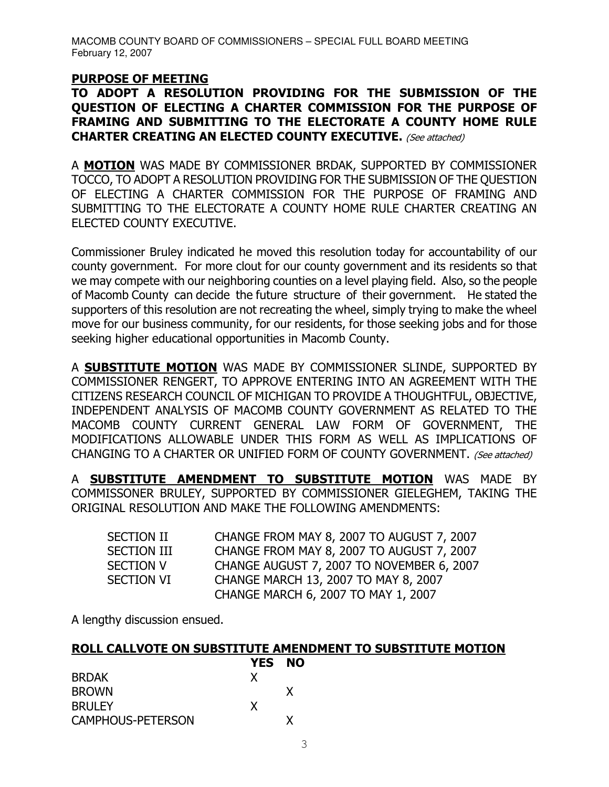#### **PURPOSE OF MEETING**

## TO ADOPT A RESOLUTION PROVIDING FOR THE SUBMISSION OF THE QUESTION OF ELECTING A CHARTER COMMISSION FOR THE PURPOSE OF FRAMING AND SUBMITTING TO THE ELECTORATE A COUNTY HOME RULE **CHARTER CREATING AN ELECTED COUNTY EXECUTIVE.** (See attached)

A MOTION WAS MADE BY COMMISSIONER BRDAK, SUPPORTED BY COMMISSIONER TOCCO, TO ADOPT A RESOLUTION PROVIDING FOR THE SUBMISSION OF THE QUESTION OF ELECTING A CHARTER COMMISSION FOR THE PURPOSE OF FRAMING AND SUBMITTING TO THE ELECTORATE A COUNTY HOME RULE CHARTER CREATING AN ELECTED COUNTY EXECUTIVE.

Commissioner Bruley indicated he moved this resolution today for accountability of our county government. For more clout for our county government and its residents so that we may compete with our neighboring counties on a level playing field. Also, so the people of Macomb County can decide the future structure of their government. He stated the supporters of this resolution are not recreating the wheel, simply trying to make the wheel move for our business community, for our residents, for those seeking jobs and for those seeking higher educational opportunities in Macomb County.

A SUBSTITUTE MOTION WAS MADE BY COMMISSIONER SLINDE, SUPPORTED BY COMMISSIONER RENGERT, TO APPROVE ENTERING INTO AN AGREEMENT WITH THE CITIZENS RESEARCH COUNCIL OF MICHIGAN TO PROVIDE A THOUGHTFUL, OBJECTIVE, INDEPENDENT ANALYSIS OF MACOMB COUNTY GOVERNMENT AS RELATED TO THE MACOMB COUNTY CURRENT GENERAL LAW FORM OF GOVERNMENT, THE MODIFICATIONS ALLOWABLE UNDER THIS FORM AS WELL AS IMPLICATIONS OF CHANGING TO A CHARTER OR UNIFIED FORM OF COUNTY GOVERNMENT. (See attached)

A **SUBSTITUTE AMENDMENT TO SUBSTITUTE MOTION** WAS MADE BY COMMISSONER BRULEY, SUPPORTED BY COMMISSIONER GIELEGHEM, TAKING THE ORIGINAL RESOLUTION AND MAKE THE FOLLOWING AMENDMENTS:

| SECTION II         | CHANGE FROM MAY 8, 2007 TO AUGUST 7, 2007 |
|--------------------|-------------------------------------------|
| <b>SECTION III</b> | CHANGE FROM MAY 8, 2007 TO AUGUST 7, 2007 |
| <b>SECTION V</b>   | CHANGE AUGUST 7, 2007 TO NOVEMBER 6, 2007 |
| <b>SECTION VI</b>  | CHANGE MARCH 13, 2007 TO MAY 8, 2007      |
|                    | CHANGE MARCH 6, 2007 TO MAY 1, 2007       |

A lengthy discussion ensued.

## ROLL CALLVOTE ON SUBSTITUTE AMENDMENT TO SUBSTITUTE MOTION

|                          | <b>YES NO</b> |   |
|--------------------------|---------------|---|
| <b>BRDAK</b>             | x             |   |
| <b>BROWN</b>             |               | X |
| <b>BRULEY</b>            | X             |   |
| <b>CAMPHOUS-PETERSON</b> |               | x |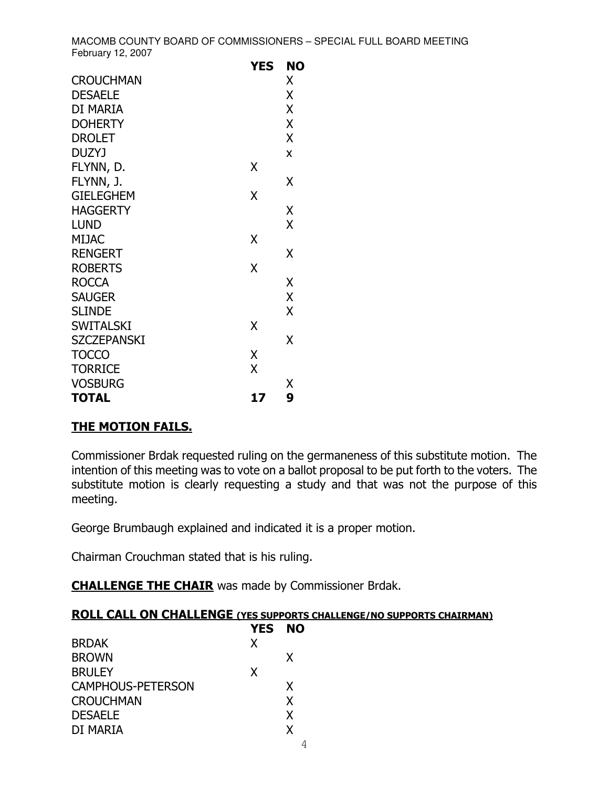|                    | YES | NO |
|--------------------|-----|----|
| <b>CROUCHMAN</b>   |     | Χ  |
| <b>DESAELE</b>     |     | Χ  |
| DI MARIA           |     | X  |
| <b>DOHERTY</b>     |     | X  |
| <b>DROLET</b>      |     | X  |
| <b>DUZYJ</b>       |     | X  |
| FLYNN, D.          | Χ   |    |
| FLYNN, J.          |     | χ  |
| <b>GIELEGHEM</b>   | Χ   |    |
| <b>HAGGERTY</b>    |     | Χ  |
| <b>LUND</b>        |     | X  |
| <b>MIJAC</b>       | X   |    |
| <b>RENGERT</b>     |     | Χ  |
| <b>ROBERTS</b>     | X   |    |
| <b>ROCCA</b>       |     | Χ  |
| <b>SAUGER</b>      |     | X  |
| <b>SLINDE</b>      |     | X  |
| <b>SWITALSKI</b>   | Χ   |    |
| <b>SZCZEPANSKI</b> |     | Χ  |
| <b>TOCCO</b>       | χ   |    |
| <b>TORRICE</b>     | Χ   |    |
| <b>VOSBURG</b>     |     | Χ  |
| <b>TOTAL</b>       | 17  | 9  |

## **THE MOTION FAILS.**

Commissioner Brdak requested ruling on the germaneness of this substitute motion. The intention of this meeting was to vote on a ballot proposal to be put forth to the voters. The substitute motion is clearly requesting a study and that was not the purpose of this meeting.

George Brumbaugh explained and indicated it is a proper motion.

Chairman Crouchman stated that is his ruling.

**CHALLENGE THE CHAIR** was made by Commissioner Brdak.

#### **ROLL CALL ON CHALLENGE (YES SUPPORTS CHALLENGE/NO SUPPORTS CHAIRMAN)** VES NO

|                          | YES | NC |
|--------------------------|-----|----|
| <b>BRDAK</b>             | X   |    |
| <b>BROWN</b>             |     | X  |
| <b>BRULEY</b>            | X   |    |
| <b>CAMPHOUS-PETERSON</b> |     | X  |
| <b>CROUCHMAN</b>         |     | X  |
| <b>DESAELE</b>           |     | X  |
| DI MARIA                 |     | X  |
|                          |     |    |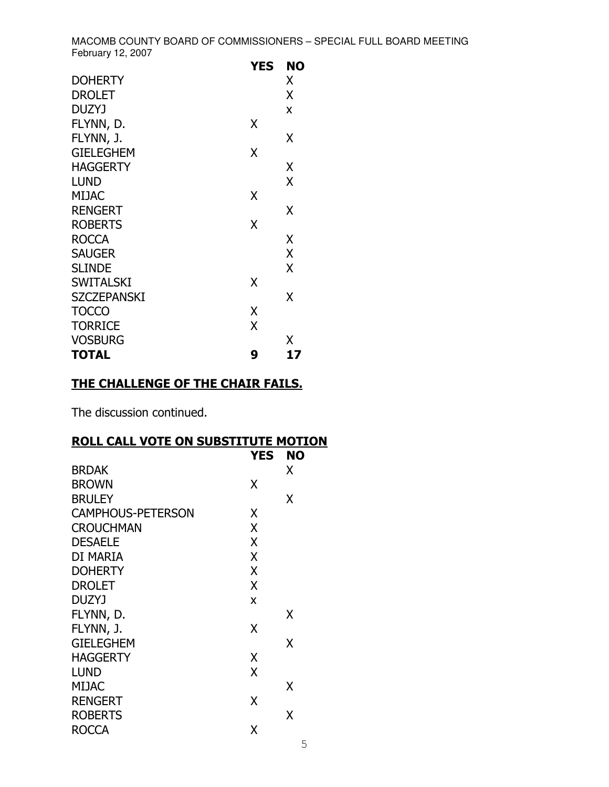|                    | YES | NO |
|--------------------|-----|----|
| <b>DOHERTY</b>     |     | Χ  |
| <b>DROLET</b>      |     | X  |
| <b>DUZYJ</b>       |     | X  |
| FLYNN, D.          | Χ   |    |
| FLYNN, J.          |     | Χ  |
| <b>GIELEGHEM</b>   | X   |    |
| <b>HAGGERTY</b>    |     | Χ  |
| <b>LUND</b>        |     | X  |
| <b>MIJAC</b>       | Χ   |    |
| <b>RENGERT</b>     |     | Χ  |
| <b>ROBERTS</b>     | Χ   |    |
| <b>ROCCA</b>       |     | X  |
| <b>SAUGER</b>      |     | X  |
| <b>SLINDE</b>      |     | X  |
| <b>SWITALSKI</b>   | X   |    |
| <b>SZCZEPANSKI</b> |     | X  |
| <b>TOCCO</b>       | Χ   |    |
| <b>TORRICE</b>     | X   |    |
| <b>VOSBURG</b>     |     | Χ  |
| <b>TOTAL</b>       | 9   | 17 |

## THE CHALLENGE OF THE CHAIR FAILS.

The discussion continued.

## **ROLL CALL VOTE ON SUBSTITUTE MOTION**

|                          | <b>YES</b> | <b>NO</b> |
|--------------------------|------------|-----------|
| <b>BRDAK</b>             |            | X         |
| <b>BROWN</b>             | χ          |           |
| <b>BRULEY</b>            |            | x         |
| <b>CAMPHOUS-PETERSON</b> | X          |           |
| <b>CROUCHMAN</b>         | X          |           |
| <b>DESAELE</b>           | X          |           |
| DI MARIA                 | X          |           |
| <b>DOHERTY</b>           | X          |           |
| <b>DROLET</b>            | X          |           |
| DUZYJ                    | X          |           |
| FLYNN, D.                |            | x         |
| FLYNN, J.                | χ          |           |
| <b>GIELEGHEM</b>         |            | X         |
| <b>HAGGERTY</b>          | X          |           |
| <b>LUND</b>              | X          |           |
| <b>MIJAC</b>             |            | X         |
| <b>RENGERT</b>           | χ          |           |
| <b>ROBERTS</b>           |            | x         |
| <b>ROCCA</b>             | χ          |           |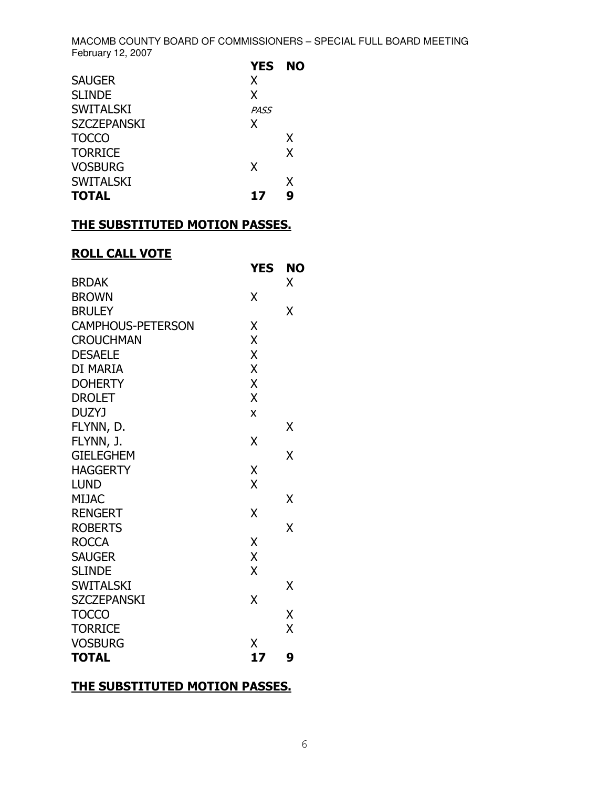|                    | <b>YES</b>  | <b>NO</b> |
|--------------------|-------------|-----------|
| <b>SAUGER</b>      | X           |           |
| <b>SLINDE</b>      | X           |           |
| <b>SWITALSKI</b>   | <b>PASS</b> |           |
| <b>SZCZEPANSKI</b> | X           |           |
| <b>TOCCO</b>       |             | X         |
| <b>TORRICE</b>     |             | X         |
| <b>VOSBURG</b>     | X           |           |
| <b>SWITALSKI</b>   |             | X         |
| <b>TOTAL</b>       | 17          | 9         |

## THE SUBSTITUTED MOTION PASSES.

# **ROLL CALL VOTE**

|                          | <b>YES</b> | <b>NO</b> |
|--------------------------|------------|-----------|
| <b>BRDAK</b>             |            | X         |
| <b>BROWN</b>             | χ          |           |
| <b>BRULEY</b>            |            | χ         |
| <b>CAMPHOUS-PETERSON</b> | χ          |           |
| <b>CROUCHMAN</b>         | X          |           |
| <b>DESAELE</b>           | X          |           |
| DI MARIA                 | X          |           |
| <b>DOHERTY</b>           | X          |           |
| <b>DROLET</b>            | X          |           |
| <b>DUZYJ</b>             | X          |           |
| FLYNN, D.                |            | χ         |
| FLYNN, J.                | χ          |           |
| <b>GIELEGHEM</b>         |            | X         |
| <b>HAGGERTY</b>          | Χ          |           |
| <b>LUND</b>              | X          |           |
| <b>MIJAC</b>             |            | X         |
| <b>RENGERT</b>           | χ          |           |
| <b>ROBERTS</b>           |            | X         |
| <b>ROCCA</b>             | Χ          |           |
| <b>SAUGER</b>            | X          |           |
| <b>SLINDE</b>            | X          |           |
| <b>SWITALSKI</b>         |            | X         |
| <b>SZCZEPANSKI</b>       | X          |           |
| <b>TOCCO</b>             |            | Χ         |
| <b>TORRICE</b>           |            | X         |
| <b>VOSBURG</b>           | Χ          |           |
| <b>TOTAL</b>             | 17         | 9         |

### THE SUBSTITUTED MOTION PASSES.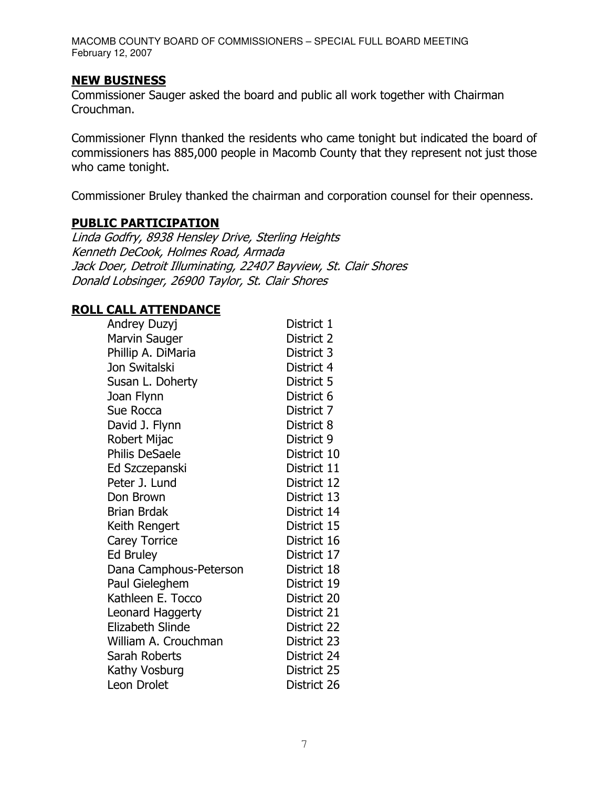#### **NEW BUSINESS**

Commissioner Sauger asked the board and public all work together with Chairman Crouchman.

Commissioner Flynn thanked the residents who came tonight but indicated the board of commissioners has 885,000 people in Macomb County that they represent not just those who came tonight.

Commissioner Bruley thanked the chairman and corporation counsel for their openness.

# **PUBLIC PARTICIPATION**

Linda Godfry, 8938 Hensley Drive, Sterling Heights Kenneth DeCook, Holmes Road, Armada Jack Doer, Detroit Illuminating, 22407 Bayview, St. Clair Shores Donald Lobsinger, 26900 Taylor, St. Clair Shores

## **ROLL CALL ATTENDANCE**

| Andrey Duzyj            | District 1  |
|-------------------------|-------------|
| Marvin Sauger           | District 2  |
| Phillip A. DiMaria      | District 3  |
| Jon Switalski           | District 4  |
| Susan L. Doherty        | District 5  |
| Joan Flynn              | District 6  |
| Sue Rocca               | District 7  |
| David J. Flynn          | District 8  |
| Robert Mijac            | District 9  |
| <b>Philis DeSaele</b>   | District 10 |
| Ed Szczepanski          | District 11 |
| Peter J. Lund           | District 12 |
| Don Brown               | District 13 |
| <b>Brian Brdak</b>      | District 14 |
| Keith Rengert           | District 15 |
| <b>Carey Torrice</b>    | District 16 |
| <b>Ed Bruley</b>        | District 17 |
| Dana Camphous-Peterson  | District 18 |
| Paul Gieleghem          | District 19 |
| Kathleen E. Tocco       | District 20 |
| Leonard Haggerty        | District 21 |
| <b>Elizabeth Slinde</b> | District 22 |
| William A. Crouchman    | District 23 |
| Sarah Roberts           | District 24 |
| Kathy Vosburg           | District 25 |
| Leon Drolet             | District 26 |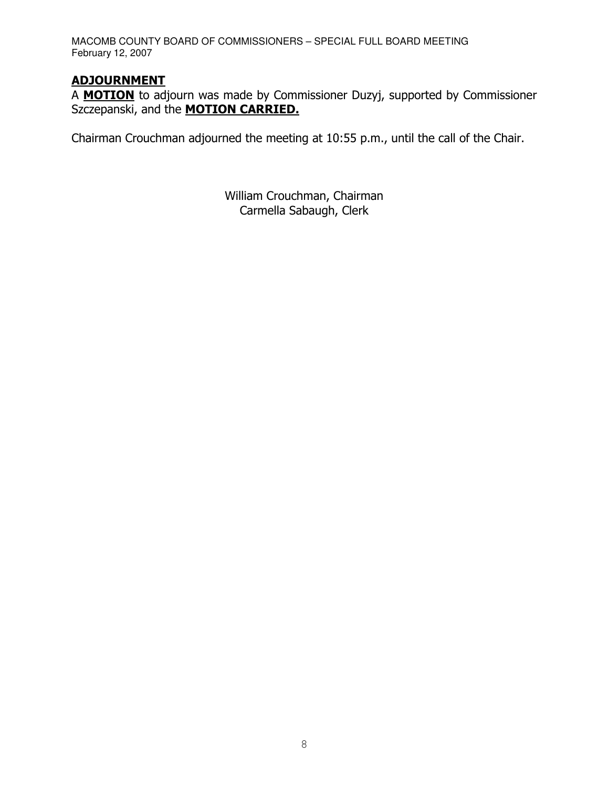# **ADJOURNMENT**

A MOTION to adjourn was made by Commissioner Duzyj, supported by Commissioner Szczepanski, and the **MOTION CARRIED.** 

Chairman Crouchman adjourned the meeting at 10:55 p.m., until the call of the Chair.

William Crouchman, Chairman Carmella Sabaugh, Clerk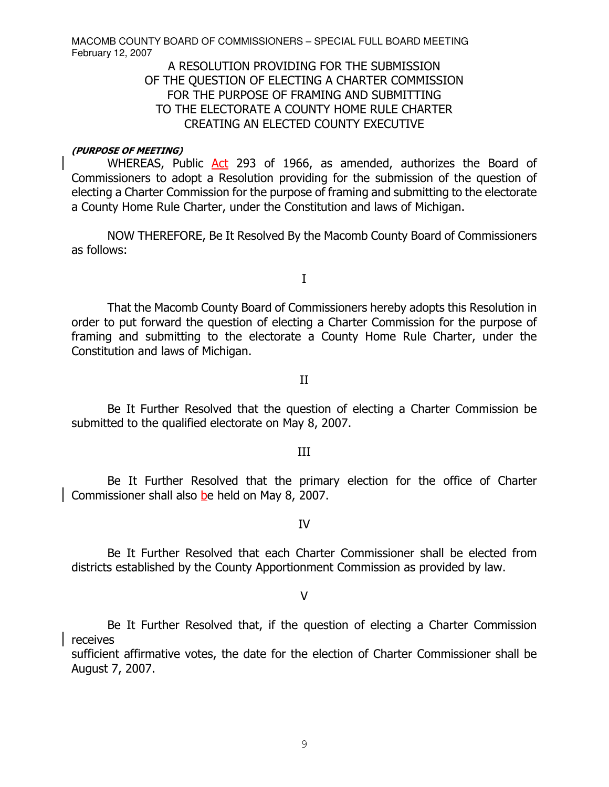## A RESOLUTION PROVIDING FOR THE SUBMISSION OF THE QUESTION OF ELECTING A CHARTER COMMISSION FOR THE PURPOSE OF FRAMING AND SUBMITTING TO THE ELECTORATE A COUNTY HOME RULE CHARTER CREATING AN ELECTED COUNTY EXECUTIVE

#### (PURPOSE OF MEETING)

WHEREAS, Public Act 293 of 1966, as amended, authorizes the Board of Commissioners to adopt a Resolution providing for the submission of the question of electing a Charter Commission for the purpose of framing and submitting to the electorate a County Home Rule Charter, under the Constitution and laws of Michigan.

NOW THEREFORE, Be It Resolved By the Macomb County Board of Commissioners as follows:

 $\bf I$ 

That the Macomb County Board of Commissioners hereby adopts this Resolution in order to put forward the question of electing a Charter Commission for the purpose of framing and submitting to the electorate a County Home Rule Charter, under the Constitution and laws of Michigan.

#### $\mathbf{II}$

Be It Further Resolved that the question of electing a Charter Commission be submitted to the qualified electorate on May 8, 2007.

#### $III$

Be It Further Resolved that the primary election for the office of Charter Commissioner shall also be held on May 8, 2007.

#### **IV**

Be It Further Resolved that each Charter Commissioner shall be elected from districts established by the County Apportionment Commission as provided by law.

#### $\vee$

Be It Further Resolved that, if the question of electing a Charter Commission receives

sufficient affirmative votes, the date for the election of Charter Commissioner shall be August 7, 2007.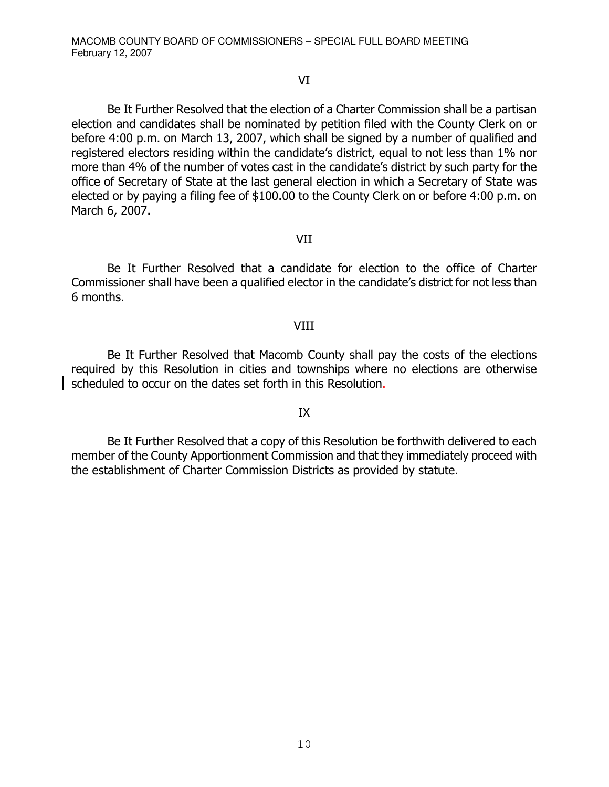#### $VI$

Be It Further Resolved that the election of a Charter Commission shall be a partisan election and candidates shall be nominated by petition filed with the County Clerk on or before 4:00 p.m. on March 13, 2007, which shall be signed by a number of qualified and registered electors residing within the candidate's district, equal to not less than 1% nor more than 4% of the number of votes cast in the candidate's district by such party for the office of Secretary of State at the last general election in which a Secretary of State was elected or by paying a filing fee of \$100.00 to the County Clerk on or before 4:00 p.m. on March 6, 2007.

#### $VII$

Be It Further Resolved that a candidate for election to the office of Charter Commissioner shall have been a qualified elector in the candidate's district for not less than 6 months.

#### $VIII$

Be It Further Resolved that Macomb County shall pay the costs of the elections required by this Resolution in cities and townships where no elections are otherwise scheduled to occur on the dates set forth in this Resolution<u>.</u>

## $IX$

Be It Further Resolved that a copy of this Resolution be forthwith delivered to each member of the County Apportionment Commission and that they immediately proceed with the establishment of Charter Commission Districts as provided by statute.